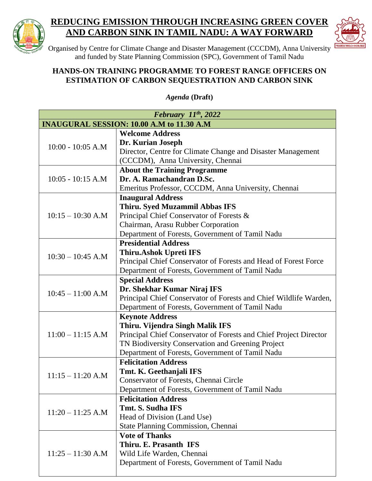

## **REDUCING EMISSION THROUGH INCREASING GREEN COVER AND CARBON SINK IN TAMIL NADU: A WAY FORWARD**



Organised by Centre for Climate Change and Disaster Management (CCCDM), Anna University and funded by State Planning Commission (SPC), Government of Tamil Nadu

## **HANDS-ON TRAINING PROGRAMME TO FOREST RANGE OFFICERS ON ESTIMATION OF CARBON SEQUESTRATION AND CARBON SINK**

*Agenda* **(Draft)**

| February $11^{th}$ , 2022                 |                                                                   |  |
|-------------------------------------------|-------------------------------------------------------------------|--|
| INAUGURAL SESSION: 10.00 A.M to 11.30 A.M |                                                                   |  |
|                                           | <b>Welcome Address</b>                                            |  |
| $10:00 - 10:05$ A.M                       | Dr. Kurian Joseph                                                 |  |
|                                           | Director, Centre for Climate Change and Disaster Management       |  |
|                                           | (CCCDM), Anna University, Chennai                                 |  |
| $10:05 - 10:15$ A.M                       | <b>About the Training Programme</b>                               |  |
|                                           | Dr. A. Ramachandran D.Sc.                                         |  |
|                                           | Emeritus Professor, CCCDM, Anna University, Chennai               |  |
|                                           | <b>Inaugural Address</b>                                          |  |
|                                           | Thiru. Syed Muzammil Abbas IFS                                    |  |
| $10:15 - 10:30$ A.M                       | Principal Chief Conservator of Forests &                          |  |
|                                           | Chairman, Arasu Rubber Corporation                                |  |
|                                           | Department of Forests, Government of Tamil Nadu                   |  |
|                                           | <b>Presidential Address</b>                                       |  |
| $10:30 - 10:45$ A.M                       | <b>Thiru.Ashok Upreti IFS</b>                                     |  |
|                                           | Principal Chief Conservator of Forests and Head of Forest Force   |  |
|                                           | Department of Forests, Government of Tamil Nadu                   |  |
|                                           | <b>Special Address</b>                                            |  |
| $10:45 - 11:00$ A.M                       | Dr. Shekhar Kumar Niraj IFS                                       |  |
|                                           | Principal Chief Conservator of Forests and Chief Wildlife Warden, |  |
|                                           | Department of Forests, Government of Tamil Nadu                   |  |
|                                           | <b>Keynote Address</b>                                            |  |
| $11:00 - 11:15$ A.M                       | Thiru. Vijendra Singh Malik IFS                                   |  |
|                                           | Principal Chief Conservator of Forests and Chief Project Director |  |
|                                           | TN Biodiversity Conservation and Greening Project                 |  |
|                                           | Department of Forests, Government of Tamil Nadu                   |  |
| $11:15 - 11:20$ A.M                       | <b>Felicitation Address</b>                                       |  |
|                                           | Tmt. K. Geethanjali IFS                                           |  |
|                                           | Conservator of Forests, Chennai Circle                            |  |
|                                           | Department of Forests, Government of Tamil Nadu                   |  |
| $11:20 - 11:25$ A.M                       | <b>Felicitation Address</b>                                       |  |
|                                           | Tmt. S. Sudha IFS                                                 |  |
|                                           | Head of Division (Land Use)                                       |  |
|                                           | <b>State Planning Commission, Chennai</b>                         |  |
| $11:25 - 11:30$ A.M                       | <b>Vote of Thanks</b>                                             |  |
|                                           | Thiru. E. Prasanth IFS                                            |  |
|                                           | Wild Life Warden, Chennai                                         |  |
|                                           | Department of Forests, Government of Tamil Nadu                   |  |
|                                           |                                                                   |  |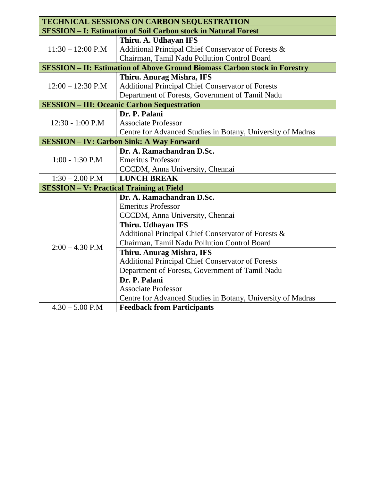| <b>TECHNICAL SESSIONS ON CARBON SEQUESTRATION</b>                                |                                                             |  |
|----------------------------------------------------------------------------------|-------------------------------------------------------------|--|
| <b>SESSION - I: Estimation of Soil Carbon stock in Natural Forest</b>            |                                                             |  |
|                                                                                  | Thiru. A. Udhayan IFS                                       |  |
| $11:30 - 12:00$ P.M                                                              | Additional Principal Chief Conservator of Forests &         |  |
|                                                                                  | Chairman, Tamil Nadu Pollution Control Board                |  |
| <b>SESSION - II: Estimation of Above Ground Biomass Carbon stock in Forestry</b> |                                                             |  |
|                                                                                  | Thiru. Anurag Mishra, IFS                                   |  |
| $12:00 - 12:30$ P.M                                                              | <b>Additional Principal Chief Conservator of Forests</b>    |  |
|                                                                                  | Department of Forests, Government of Tamil Nadu             |  |
| <b>SESSION - III: Oceanic Carbon Sequestration</b>                               |                                                             |  |
|                                                                                  | Dr. P. Palani                                               |  |
| $12:30 - 1:00$ P.M                                                               | <b>Associate Professor</b>                                  |  |
|                                                                                  | Centre for Advanced Studies in Botany, University of Madras |  |
| <b>SESSION - IV: Carbon Sink: A Way Forward</b>                                  |                                                             |  |
|                                                                                  | Dr. A. Ramachandran D.Sc.                                   |  |
| $1:00 - 1:30$ P.M                                                                | <b>Emeritus Professor</b>                                   |  |
|                                                                                  | CCCDM, Anna University, Chennai                             |  |
| $1:30 - 2.00$ P.M                                                                | <b>LUNCH BREAK</b>                                          |  |
| <b>SESSION - V: Practical Training at Field</b>                                  |                                                             |  |
| $2:00 - 4.30$ P.M                                                                | Dr. A. Ramachandran D.Sc.                                   |  |
|                                                                                  | <b>Emeritus Professor</b>                                   |  |
|                                                                                  | CCCDM, Anna University, Chennai                             |  |
|                                                                                  | <b>Thiru. Udhayan IFS</b>                                   |  |
|                                                                                  | Additional Principal Chief Conservator of Forests &         |  |
|                                                                                  | Chairman, Tamil Nadu Pollution Control Board                |  |
|                                                                                  | Thiru. Anurag Mishra, IFS                                   |  |
|                                                                                  | <b>Additional Principal Chief Conservator of Forests</b>    |  |
|                                                                                  | Department of Forests, Government of Tamil Nadu             |  |
|                                                                                  | Dr. P. Palani                                               |  |
|                                                                                  | <b>Associate Professor</b>                                  |  |
|                                                                                  | Centre for Advanced Studies in Botany, University of Madras |  |
| $4.30 - 5.00$ P.M                                                                | <b>Feedback from Participants</b>                           |  |